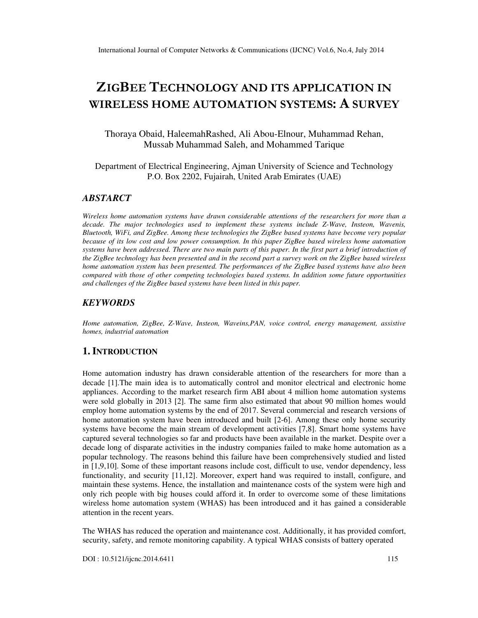# ZIGBEE TECHNOLOGY AND ITS APPLICATION IN WIRELESS HOME AUTOMATION SYSTEMS: A SURVEY

Thoraya Obaid, HaleemahRashed, Ali Abou-Elnour, Muhammad Rehan, Mussab Muhammad Saleh, and Mohammed Tarique

Department of Electrical Engineering, Ajman University of Science and Technology P.O. Box 2202, Fujairah, United Arab Emirates (UAE)

### *ABSTARCT*

*Wireless home automation systems have drawn considerable attentions of the researchers for more than a decade. The major technologies used to implement these systems include Z-Wave, Insteon, Wavenis, Bluetooth, WiFi, and ZigBee. Among these technologies the ZigBee based systems have become very popular because of its low cost and low power consumption. In this paper ZigBee based wireless home automation systems have been addressed. There are two main parts of this paper. In the first part a brief introduction of the ZigBee technology has been presented and in the second part a survey work on the ZigBee based wireless home automation system has been presented. The performances of the ZigBee based systems have also been compared with those of other competing technologies based systems. In addition some future opportunities and challenges of the ZigBee based systems have been listed in this paper.*

### *KEYWORDS*

*Home automation, ZigBee, Z-Wave, Insteon, Waveins,PAN, voice control, energy management, assistive homes, industrial automation* 

### **1. INTRODUCTION**

Home automation industry has drawn considerable attention of the researchers for more than a decade [1].The main idea is to automatically control and monitor electrical and electronic home appliances. According to the market research firm ABI about 4 million home automation systems were sold globally in 2013 [2]. The same firm also estimated that about 90 million homes would employ home automation systems by the end of 2017. Several commercial and research versions of home automation system have been introduced and built [2-6]. Among these only home security systems have become the main stream of development activities [7,8]. Smart home systems have captured several technologies so far and products have been available in the market. Despite over a decade long of disparate activities in the industry companies failed to make home automation as a popular technology. The reasons behind this failure have been comprehensively studied and listed in [1,9,10]. Some of these important reasons include cost, difficult to use, vendor dependency, less functionality, and security [11,12]. Moreover, expert hand was required to install, configure, and maintain these systems. Hence, the installation and maintenance costs of the system were high and only rich people with big houses could afford it. In order to overcome some of these limitations wireless home automation system (WHAS) has been introduced and it has gained a considerable attention in the recent years.

The WHAS has reduced the operation and maintenance cost. Additionally, it has provided comfort, security, safety, and remote monitoring capability. A typical WHAS consists of battery operated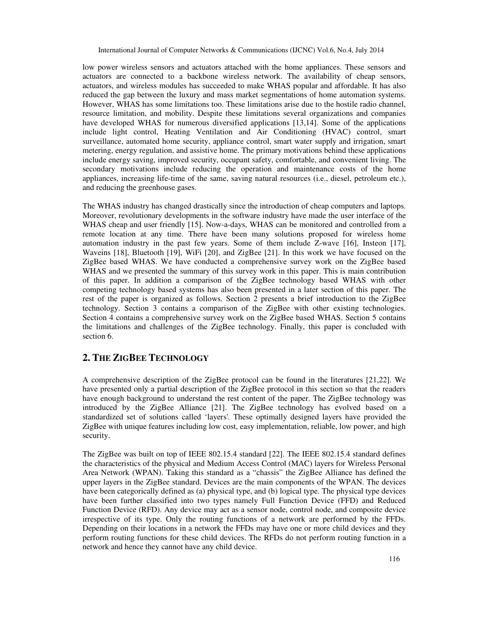low power wireless sensors and actuators attached with the home appliances. These sensors and actuators are connected to a backbone wireless network. The availability of cheap sensors, actuators, and wireless modules has succeeded to make WHAS popular and affordable. It has also reduced the gap between the luxury and mass market segmentations of home automation systems. However, WHAS has some limitations too. These limitations arise due to the hostile radio channel, resource limitation, and mobility. Despite these limitations several organizations and companies have developed WHAS for numerous diversified applications [13,14]. Some of the applications include light control, Heating Ventilation and Air Conditioning (HVAC) control, smart surveillance, automated home security, appliance control, smart water supply and irrigation, smart metering, energy regulation, and assistive home. The primary motivations behind these applications include energy saving, improved security, occupant safety, comfortable, and convenient living. The secondary motivations include reducing the operation and maintenance costs of the home appliances, increasing life-time of the same, saving natural resources (i.e., diesel, petroleum etc.), and reducing the greenhouse gases.

The WHAS industry has changed drastically since the introduction of cheap computers and laptops. Moreover, revolutionary developments in the software industry have made the user interface of the WHAS cheap and user friendly [15]. Now-a-days, WHAS can be monitored and controlled from a remote location at any time. There have been many solutions proposed for wireless home automation industry in the past few years. Some of them include Z-wave [16], Insteon [17], Waveins [18], Bluetooth [19], WiFi [20], and ZigBee [21]. In this work we have focused on the ZigBee based WHAS. We have conducted a comprehensive survey work on the ZigBee based WHAS and we presented the summary of this survey work in this paper. This is main contribution of this paper. In addition a comparison of the ZigBee technology based WHAS with other competing technology based systems has also been presented in a later section of this paper. The rest of the paper is organized as follows. Section 2 presents a brief introduction to the ZigBee technology. Section 3 contains a comparison of the ZigBee with other existing technologies. Section 4 contains a comprehensive survey work on the ZigBee based WHAS. Section 5 contains the limitations and challenges of the ZigBee technology. Finally, this paper is concluded with section 6.

# **2. THE ZIGBEE TECHNOLOGY**

A comprehensive description of the ZigBee protocol can be found in the literatures [21,22]. We have presented only a partial description of the ZigBee protocol in this section so that the readers have enough background to understand the rest content of the paper. The ZigBee technology was introduced by the ZigBee Alliance [21]. The ZigBee technology has evolved based on a standardized set of solutions called 'layers'. These optimally designed layers have provided the ZigBee with unique features including low cost, easy implementation, reliable, low power, and high security.

The ZigBee was built on top of IEEE 802.15.4 standard [22]. The IEEE 802.15.4 standard defines the characteristics of the physical and Medium Access Control (MAC) layers for Wireless Personal Area Network (WPAN). Taking this standard as a "chassis" the ZigBee Alliance has defined the upper layers in the ZigBee standard. Devices are the main components of the WPAN. The devices have been categorically defined as (a) physical type, and (b) logical type. The physical type devices have been further classified into two types namely Full Function Device (FFD) and Reduced Function Device (RFD). Any device may act as a sensor node, control node, and composite device irrespective of its type. Only the routing functions of a network are performed by the FFDs. Depending on their locations in a network the FFDs may have one or more child devices and they perform routing functions for these child devices. The RFDs do not perform routing function in a network and hence they cannot have any child device.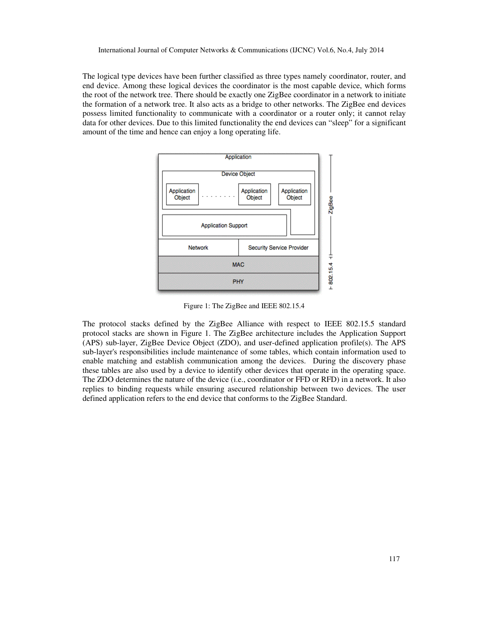The logical type devices have been further classified as three types namely coordinator, router, and end device. Among these logical devices the coordinator is the most capable device, which forms the root of the network tree. There should be exactly one ZigBee coordinator in a network to initiate the formation of a network tree. It also acts as a bridge to other networks. The ZigBee end devices possess limited functionality to communicate with a coordinator or a router only; it cannot relay data for other devices. Due to this limited functionality the end devices can "sleep" for a significant amount of the time and hence can enjoy a long operating life.



Figure 1: The ZigBee and IEEE 802.15.4

The protocol stacks defined by the ZigBee Alliance with respect to IEEE 802.15.5 standard protocol stacks are shown in Figure 1. The ZigBee architecture includes the Application Support (APS) sub-layer, ZigBee Device Object (ZDO), and user-defined application profile(s). The APS sub-layer's responsibilities include maintenance of some tables, which contain information used to enable matching and establish communication among the devices. During the discovery phase these tables are also used by a device to identify other devices that operate in the operating space. The ZDO determines the nature of the device (i.e., coordinator or FFD or RFD) in a network. It also replies to binding requests while ensuring asecured relationship between two devices. The user defined application refers to the end device that conforms to the ZigBee Standard.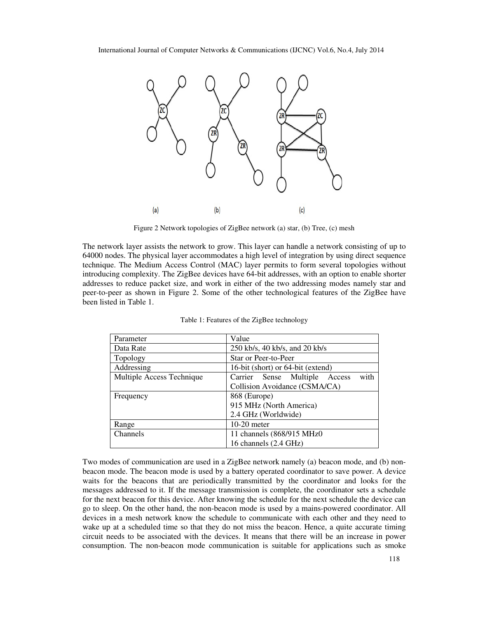

Figure 2 Network topologies of ZigBee network (a) star, (b) Tree, (c) mesh

The network layer assists the network to grow. This layer can handle a network consisting of up to 64000 nodes. The physical layer accommodates a high level of integration by using direct sequence technique. The Medium Access Control (MAC) layer permits to form several topologies without introducing complexity. The ZigBee devices have 64-bit addresses, with an option to enable shorter addresses to reduce packet size, and work in either of the two addressing modes namely star and peer-to-peer as shown in Figure 2. Some of the other technological features of the ZigBee have been listed in Table 1.

| Parameter                 | Value                                    |  |  |  |  |
|---------------------------|------------------------------------------|--|--|--|--|
| Data Rate                 | 250 kb/s, 40 kb/s, and 20 kb/s           |  |  |  |  |
| Topology                  | Star or Peer-to-Peer                     |  |  |  |  |
| Addressing                | 16-bit (short) or 64-bit (extend)        |  |  |  |  |
| Multiple Access Technique | with<br>Carrier Sense Multiple<br>Access |  |  |  |  |
|                           | Collision Avoidance (CSMA/CA)            |  |  |  |  |
| Frequency                 | 868 (Europe)                             |  |  |  |  |
|                           | 915 MHz (North America)                  |  |  |  |  |
|                           | 2.4 GHz (Worldwide)                      |  |  |  |  |
| Range                     | $10-20$ meter                            |  |  |  |  |
| Channels                  | 11 channels (868/915 MHz0)               |  |  |  |  |
|                           | 16 channels (2.4 GHz)                    |  |  |  |  |

Table 1: Features of the ZigBee technology

Two modes of communication are used in a ZigBee network namely (a) beacon mode, and (b) nonbeacon mode. The beacon mode is used by a battery operated coordinator to save power. A device waits for the beacons that are periodically transmitted by the coordinator and looks for the messages addressed to it. If the message transmission is complete, the coordinator sets a schedule for the next beacon for this device. After knowing the schedule for the next schedule the device can go to sleep. On the other hand, the non-beacon mode is used by a mains-powered coordinator. All devices in a mesh network know the schedule to communicate with each other and they need to wake up at a scheduled time so that they do not miss the beacon. Hence, a quite accurate timing circuit needs to be associated with the devices. It means that there will be an increase in power consumption. The non-beacon mode communication is suitable for applications such as smoke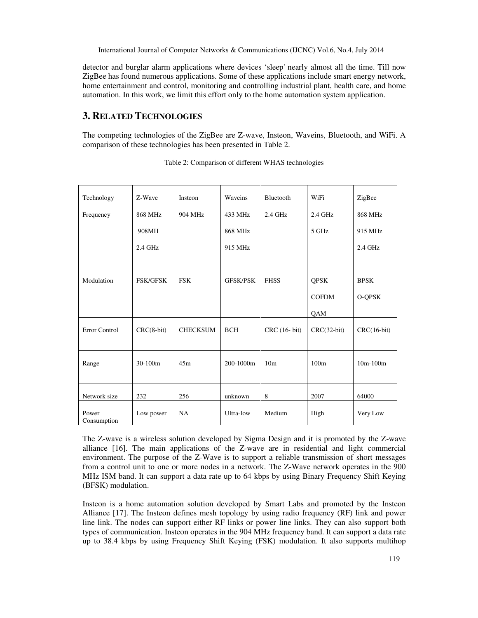detector and burglar alarm applications where devices 'sleep' nearly almost all the time. Till now ZigBee has found numerous applications. Some of these applications include smart energy network, home entertainment and control, monitoring and controlling industrial plant, health care, and home automation. In this work, we limit this effort only to the home automation system application.

# **3. RELATED TECHNOLOGIES**

The competing technologies of the ZigBee are Z-wave, Insteon, Waveins, Bluetooth, and WiFi. A comparison of these technologies has been presented in Table 2.

| Technology           | Z-Wave          | Insteon         | Waveins         | Bluetooth       | WiFi             | ZigBee        |
|----------------------|-----------------|-----------------|-----------------|-----------------|------------------|---------------|
| Frequency            | 868 MHz         | 904 MHz         | 433 MHz         | 2.4 GHz         | $2.4$ GHz        | 868 MHz       |
|                      | 908MH           |                 | 868 MHz         |                 | 5 GHz            | 915 MHz       |
|                      | 2.4 GHz         |                 | 915 MHz         |                 |                  | $2.4$ GHz     |
|                      |                 |                 |                 |                 |                  |               |
| Modulation           | <b>FSK/GFSK</b> | <b>FSK</b>      | <b>GFSK/PSK</b> | <b>FHSS</b>     | QPSK             | <b>BPSK</b>   |
|                      |                 |                 |                 |                 | <b>COFDM</b>     | O-QPSK        |
|                      |                 |                 |                 |                 | QAM              |               |
| Error Control        | $CRC(8-bit)$    | <b>CHECKSUM</b> | <b>BCH</b>      | CRC (16- bit)   | $CRC(32-bit)$    | $CRC(16-bit)$ |
| Range                | 30-100m         | 45m             | 200-1000m       | 10 <sub>m</sub> | 100 <sub>m</sub> | $10m-100m$    |
| Network size         | 232             | 256             | unknown         | 8               | 2007             | 64000         |
| Power<br>Consumption | Low power       | <b>NA</b>       | Ultra-low       | Medium          | High             | Very Low      |

| Table 2: Comparison of different WHAS technologies |  |  |  |
|----------------------------------------------------|--|--|--|
|----------------------------------------------------|--|--|--|

The Z-wave is a wireless solution developed by Sigma Design and it is promoted by the Z-wave alliance [16]. The main applications of the Z-wave are in residential and light commercial environment. The purpose of the Z-Wave is to support a reliable transmission of short messages from a control unit to one or more nodes in a network. The Z-Wave network operates in the 900 MHz ISM band. It can support a data rate up to 64 kbps by using Binary Frequency Shift Keying (BFSK) modulation.

Insteon is a home automation solution developed by Smart Labs and promoted by the Insteon Alliance [17]. The Insteon defines mesh topology by using radio frequency (RF) link and power line link. The nodes can support either RF links or power line links. They can also support both types of communication. Insteon operates in the 904 MHz frequency band. It can support a data rate up to 38.4 kbps by using Frequency Shift Keying (FSK) modulation. It also supports multihop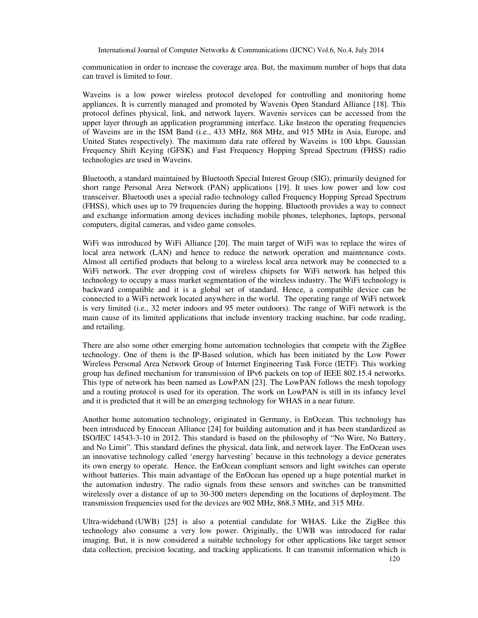communication in order to increase the coverage area. But, the maximum number of hops that data can travel is limited to four.

Waveins is a low power wireless protocol developed for controlling and monitoring home appliances. It is currently managed and promoted by Wavenis Open Standard Alliance [18]. This protocol defines physical, link, and network layers. Wavenis services can be accessed from the upper layer through an application programming interface. Like Insteon the operating frequencies of Waveins are in the ISM Band (i.e., 433 MHz, 868 MHz, and 915 MHz in Asia, Europe, and United States respectively). The maximum data rate offered by Waveins is 100 kbps. Gaussian Frequency Shift Keying (GFSK) and Fast Frequency Hopping Spread Spectrum (FHSS) radio technologies are used in Waveins.

Bluetooth, a standard maintained by Bluetooth Special Interest Group (SIG), primarily designed for short range Personal Area Network (PAN) applications [19]. It uses low power and low cost transceiver. Bluetooth uses a special radio technology called Frequency Hopping Spread Spectrum (FHSS), which uses up to 79 frequencies during the hopping. Bluetooth provides a way to connect and exchange information among devices including mobile phones, telephones, laptops, personal computers, digital cameras, and video game consoles.

WiFi was introduced by WiFi Alliance [20]. The main target of WiFi was to replace the wires of local area network (LAN) and hence to reduce the network operation and maintenance costs. Almost all certified products that belong to a wireless local area network may be connected to a WiFi network. The ever dropping cost of wireless chipsets for WiFi network has helped this technology to occupy a mass market segmentation of the wireless industry. The WiFi technology is backward compatible and it is a global set of standard. Hence, a compatible device can be connected to a WiFi network located anywhere in the world. The operating range of WiFi network is very limited (i.e., 32 meter indoors and 95 meter outdoors). The range of WiFi network is the main cause of its limited applications that include inventory tracking machine, bar code reading, and retailing.

There are also some other emerging home automation technologies that compete with the ZigBee technology. One of them is the IP-Based solution, which has been initiated by the Low Power Wireless Personal Area Network Group of Internet Engineering Task Force (IETF). This working group has defined mechanism for transmission of IPv6 packets on top of IEEE 802.15.4 networks. This type of network has been named as LowPAN [23]. The LowPAN follows the mesh topology and a routing protocol is used for its operation. The work on LowPAN is still in its infancy level and it is predicted that it will be an emerging technology for WHAS in a near future.

Another home automation technology, originated in Germany, is EnOcean. This technology has been introduced by Enocean Alliance [24] for building automation and it has been standardized as ISO/IEC 14543-3-10 in 2012. This standard is based on the philosophy of "No Wire, No Battery, and No Limit". This standard defines the physical, data link, and network layer. The EnOcean uses an innovative technology called 'energy harvesting' because in this technology a device generates its own energy to operate. Hence, the EnOcean compliant sensors and light switches can operate without batteries. This main advantage of the EnOcean has opened up a huge potential market in the automation industry. The radio signals from these sensors and switches can be transmitted wirelessly over a distance of up to 30-300 meters depending on the locations of deployment. The transmission frequencies used for the devices are 902 MHz, 868.3 MHz, and 315 MHz.

Ultra-wideband (UWB) [25] is also a potential candidate for WHAS. Like the ZigBee this technology also consume a very low power. Originally, the UWB was introduced for radar imaging. But, it is now considered a suitable technology for other applications like target sensor data collection, precision locating, and tracking applications. It can transmit information which is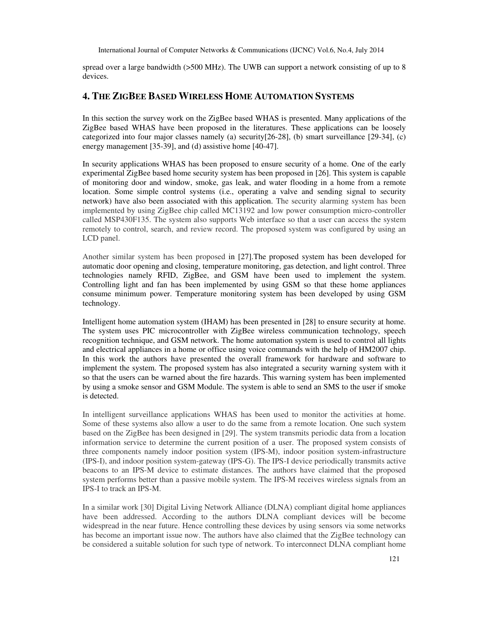spread over a large bandwidth (>500 MHz). The UWB can support a network consisting of up to 8 devices.

# **4. THE ZIGBEE BASED WIRELESS HOME AUTOMATION SYSTEMS**

In this section the survey work on the ZigBee based WHAS is presented. Many applications of the ZigBee based WHAS have been proposed in the literatures. These applications can be loosely categorized into four major classes namely (a) security[26-28], (b) smart surveillance [29-34], (c) energy management [35-39], and (d) assistive home [40-47].

In security applications WHAS has been proposed to ensure security of a home. One of the early experimental ZigBee based home security system has been proposed in [26]. This system is capable of monitoring door and window, smoke, gas leak, and water flooding in a home from a remote location. Some simple control systems (i.e., operating a valve and sending signal to security network) have also been associated with this application. The security alarming system has been implemented by using ZigBee chip called MC13192 and low power consumption micro-controller called MSP430F135. The system also supports Web interface so that a user can access the system remotely to control, search, and review record. The proposed system was configured by using an LCD panel.

Another similar system has been proposed in [27].The proposed system has been developed for automatic door opening and closing, temperature monitoring, gas detection, and light control. Three technologies namely RFID, ZigBee, and GSM have been used to implement the system. Controlling light and fan has been implemented by using GSM so that these home appliances consume minimum power. Temperature monitoring system has been developed by using GSM technology.

Intelligent home automation system (IHAM) has been presented in [28] to ensure security at home. The system uses PIC microcontroller with ZigBee wireless communication technology, speech recognition technique, and GSM network. The home automation system is used to control all lights and electrical appliances in a home or office using voice commands with the help of HM2007 chip. In this work the authors have presented the overall framework for hardware and software to implement the system. The proposed system has also integrated a security warning system with it so that the users can be warned about the fire hazards. This warning system has been implemented by using a smoke sensor and GSM Module. The system is able to send an SMS to the user if smoke is detected.

In intelligent surveillance applications WHAS has been used to monitor the activities at home. Some of these systems also allow a user to do the same from a remote location. One such system based on the ZigBee has been designed in [29]. The system transmits periodic data from a location information service to determine the current position of a user. The proposed system consists of three components namely indoor position system (IPS-M), indoor position system-infrastructure (IPS-I), and indoor position system-gateway (IPS-G). The IPS-I device periodically transmits active beacons to an IPS-M device to estimate distances. The authors have claimed that the proposed system performs better than a passive mobile system. The IPS-M receives wireless signals from an IPS-I to track an IPS-M.

In a similar work [30] Digital Living Network Alliance (DLNA) compliant digital home appliances have been addressed. According to the authors DLNA compliant devices will be become widespread in the near future. Hence controlling these devices by using sensors via some networks has become an important issue now. The authors have also claimed that the ZigBee technology can be considered a suitable solution for such type of network. To interconnect DLNA compliant home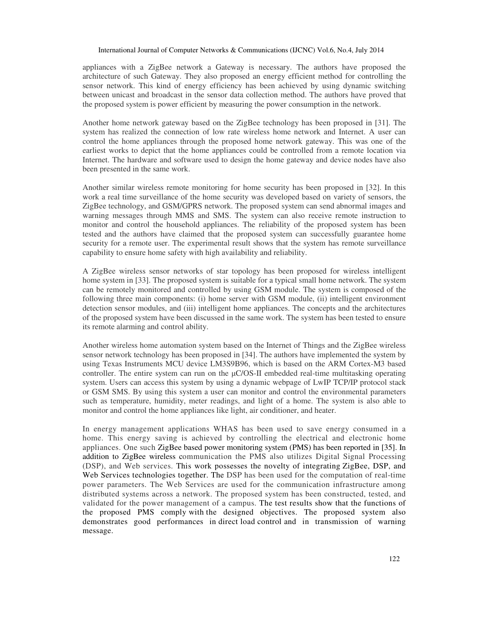appliances with a ZigBee network a Gateway is necessary. The authors have proposed the architecture of such Gateway. They also proposed an energy efficient method for controlling the sensor network. This kind of energy efficiency has been achieved by using dynamic switching between unicast and broadcast in the sensor data collection method. The authors have proved that the proposed system is power efficient by measuring the power consumption in the network.

Another home network gateway based on the ZigBee technology has been proposed in [31]. The system has realized the connection of low rate wireless home network and Internet. A user can control the home appliances through the proposed home network gateway. This was one of the earliest works to depict that the home appliances could be controlled from a remote location via Internet. The hardware and software used to design the home gateway and device nodes have also been presented in the same work.

Another similar wireless remote monitoring for home security has been proposed in [32]. In this work a real time surveillance of the home security was developed based on variety of sensors, the ZigBee technology, and GSM/GPRS network. The proposed system can send abnormal images and warning messages through MMS and SMS. The system can also receive remote instruction to monitor and control the household appliances. The reliability of the proposed system has been tested and the authors have claimed that the proposed system can successfully guarantee home security for a remote user. The experimental result shows that the system has remote surveillance capability to ensure home safety with high availability and reliability.

A ZigBee wireless sensor networks of star topology has been proposed for wireless intelligent home system in [33]. The proposed system is suitable for a typical small home network. The system can be remotely monitored and controlled by using GSM module. The system is composed of the following three main components: (i) home server with GSM module, (ii) intelligent environment detection sensor modules, and (iii) intelligent home appliances. The concepts and the architectures of the proposed system have been discussed in the same work. The system has been tested to ensure its remote alarming and control ability.

Another wireless home automation system based on the Internet of Things and the ZigBee wireless sensor network technology has been proposed in [34]. The authors have implemented the system by using Texas Instruments MCU device LM3S9B96, which is based on the ARM Cortex-M3 based controller. The entire system can run on the  $\mu$ C/OS-II embedded real-time multitasking operating system. Users can access this system by using a dynamic webpage of LwIP TCP/IP protocol stack or GSM SMS. By using this system a user can monitor and control the environmental parameters such as temperature, humidity, meter readings, and light of a home. The system is also able to monitor and control the home appliances like light, air conditioner, and heater.

In energy management applications WHAS has been used to save energy consumed in a home. This energy saving is achieved by controlling the electrical and electronic home appliances. One such ZigBee based power monitoring system (PMS) has been reported in [35]. In addition to ZigBee wireless communication the PMS also utilizes Digital Signal Processing (DSP), and Web services. This work possesses the novelty of integrating ZigBee, DSP, and Web Services technologies together. The DSP has been used for the computation of real-time power parameters. The Web Services are used for the communication infrastructure among distributed systems across a network. The proposed system has been constructed, tested, and validated for the power management of a campus. The test results show that the functions of the proposed PMS comply with the designed objectives. The proposed system also demonstrates good performances in direct load control and in transmission of warning message.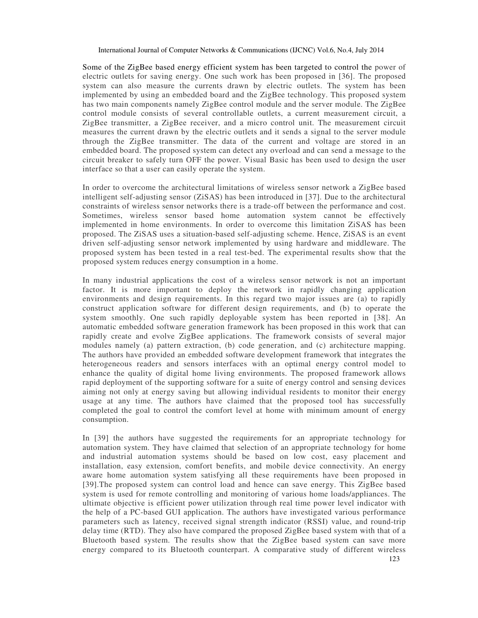Some of the ZigBee based energy efficient system has been targeted to control the power of electric outlets for saving energy. One such work has been proposed in [36]. The proposed system can also measure the currents drawn by electric outlets. The system has been implemented by using an embedded board and the ZigBee technology. This proposed system has two main components namely ZigBee control module and the server module. The ZigBee control module consists of several controllable outlets, a current measurement circuit, a ZigBee transmitter, a ZigBee receiver, and a micro control unit. The measurement circuit measures the current drawn by the electric outlets and it sends a signal to the server module through the ZigBee transmitter. The data of the current and voltage are stored in an embedded board. The proposed system can detect any overload and can send a message to the circuit breaker to safely turn OFF the power. Visual Basic has been used to design the user interface so that a user can easily operate the system.

In order to overcome the architectural limitations of wireless sensor network a ZigBee based intelligent self-adjusting sensor (ZiSAS) has been introduced in [37]. Due to the architectural constraints of wireless sensor networks there is a trade-off between the performance and cost. Sometimes, wireless sensor based home automation system cannot be effectively implemented in home environments. In order to overcome this limitation ZiSAS has been proposed. The ZiSAS uses a situation-based self-adjusting scheme. Hence, ZiSAS is an event driven self-adjusting sensor network implemented by using hardware and middleware. The proposed system has been tested in a real test-bed. The experimental results show that the proposed system reduces energy consumption in a home.

In many industrial applications the cost of a wireless sensor network is not an important factor. It is more important to deploy the network in rapidly changing application environments and design requirements. In this regard two major issues are (a) to rapidly construct application software for different design requirements, and (b) to operate the system smoothly. One such rapidly deployable system has been reported in [38]. An automatic embedded software generation framework has been proposed in this work that can rapidly create and evolve ZigBee applications. The framework consists of several major modules namely (a) pattern extraction, (b) code generation, and (c) architecture mapping. The authors have provided an embedded software development framework that integrates the heterogeneous readers and sensors interfaces with an optimal energy control model to enhance the quality of digital home living environments. The proposed framework allows rapid deployment of the supporting software for a suite of energy control and sensing devices aiming not only at energy saving but allowing individual residents to monitor their energy usage at any time. The authors have claimed that the proposed tool has successfully completed the goal to control the comfort level at home with minimum amount of energy consumption.

In [39] the authors have suggested the requirements for an appropriate technology for automation system. They have claimed that selection of an appropriate technology for home and industrial automation systems should be based on low cost, easy placement and installation, easy extension, comfort benefits, and mobile device connectivity. An energy aware home automation system satisfying all these requirements have been proposed in [39].The proposed system can control load and hence can save energy. This ZigBee based system is used for remote controlling and monitoring of various home loads/appliances. The ultimate objective is efficient power utilization through real time power level indicator with the help of a PC-based GUI application. The authors have investigated various performance parameters such as latency, received signal strength indicator (RSSI) value, and round-trip delay time (RTD). They also have compared the proposed ZigBee based system with that of a Bluetooth based system. The results show that the ZigBee based system can save more energy compared to its Bluetooth counterpart. A comparative study of different wireless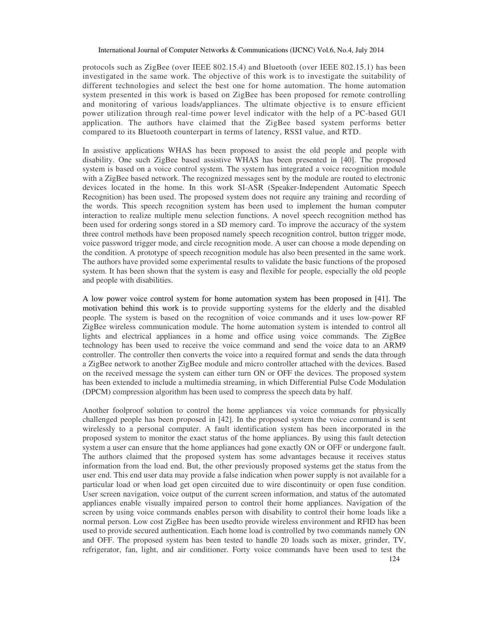protocols such as ZigBee (over IEEE 802.15.4) and Bluetooth (over IEEE 802.15.1) has been investigated in the same work. The objective of this work is to investigate the suitability of different technologies and select the best one for home automation. The home automation system presented in this work is based on ZigBee has been proposed for remote controlling and monitoring of various loads/appliances. The ultimate objective is to ensure efficient power utilization through real-time power level indicator with the help of a PC-based GUI application. The authors have claimed that the ZigBee based system performs better compared to its Bluetooth counterpart in terms of latency, RSSI value, and RTD.

In assistive applications WHAS has been proposed to assist the old people and people with disability. One such ZigBee based assistive WHAS has been presented in [40]. The proposed system is based on a voice control system. The system has integrated a voice recognition module with a ZigBee based network. The recognized messages sent by the module are routed to electronic devices located in the home. In this work SI-ASR (Speaker-Independent Automatic Speech Recognition) has been used. The proposed system does not require any training and recording of the words. This speech recognition system has been used to implement the human computer interaction to realize multiple menu selection functions. A novel speech recognition method has been used for ordering songs stored in a SD memory card. To improve the accuracy of the system three control methods have been proposed namely speech recognition control, button trigger mode, voice password trigger mode, and circle recognition mode. A user can choose a mode depending on the condition. A prototype of speech recognition module has also been presented in the same work. The authors have provided some experimental results to validate the basic functions of the proposed system. It has been shown that the system is easy and flexible for people, especially the old people and people with disabilities.

A low power voice control system for home automation system has been proposed in [41]. The motivation behind this work is to provide supporting systems for the elderly and the disabled people. The system is based on the recognition of voice commands and it uses low-power RF ZigBee wireless communication module. The home automation system is intended to control all lights and electrical appliances in a home and office using voice commands. The ZigBee technology has been used to receive the voice command and send the voice data to an ARM9 controller. The controller then converts the voice into a required format and sends the data through a ZigBee network to another ZigBee module and micro controller attached with the devices. Based on the received message the system can either turn ON or OFF the devices. The proposed system has been extended to include a multimedia streaming, in which Differential Pulse Code Modulation (DPCM) compression algorithm has been used to compress the speech data by half.

Another foolproof solution to control the home appliances via voice commands for physically challenged people has been proposed in [42]. In the proposed system the voice command is sent wirelessly to a personal computer. A fault identification system has been incorporated in the proposed system to monitor the exact status of the home appliances. By using this fault detection system a user can ensure that the home appliances had gone exactly ON or OFF or undergone fault. The authors claimed that the proposed system has some advantages because it receives status information from the load end. But, the other previously proposed systems get the status from the user end. This end user data may provide a false indication when power supply is not available for a particular load or when load get open circuited due to wire discontinuity or open fuse condition. User screen navigation, voice output of the current screen information, and status of the automated appliances enable visually impaired person to control their home appliances. Navigation of the screen by using voice commands enables person with disability to control their home loads like a normal person. Low cost ZigBee has been usedto provide wireless environment and RFID has been used to provide secured authentication. Each home load is controlled by two commands namely ON and OFF. The proposed system has been tested to handle 20 loads such as mixer, grinder, TV, refrigerator, fan, light, and air conditioner. Forty voice commands have been used to test the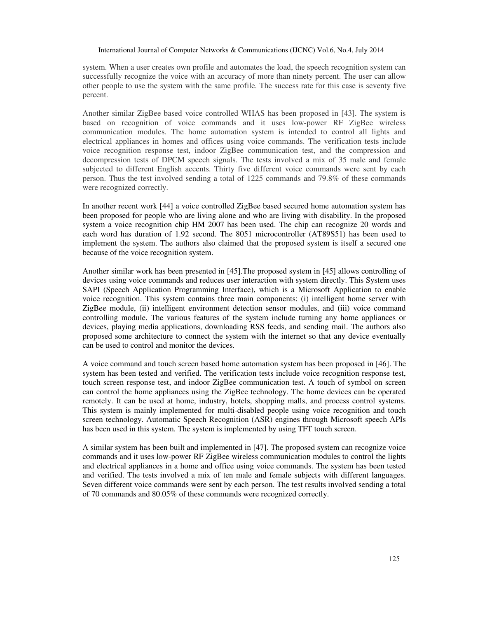system. When a user creates own profile and automates the load, the speech recognition system can successfully recognize the voice with an accuracy of more than ninety percent. The user can allow other people to use the system with the same profile. The success rate for this case is seventy five percent.

Another similar ZigBee based voice controlled WHAS has been proposed in [43]. The system is based on recognition of voice commands and it uses low-power RF ZigBee wireless communication modules. The home automation system is intended to control all lights and electrical appliances in homes and offices using voice commands. The verification tests include voice recognition response test, indoor ZigBee communication test, and the compression and decompression tests of DPCM speech signals. The tests involved a mix of 35 male and female subjected to different English accents. Thirty five different voice commands were sent by each person. Thus the test involved sending a total of 1225 commands and 79.8% of these commands were recognized correctly.

In another recent work [44] a voice controlled ZigBee based secured home automation system has been proposed for people who are living alone and who are living with disability. In the proposed system a voice recognition chip HM 2007 has been used. The chip can recognize 20 words and each word has duration of 1.92 second. The 8051 microcontroller (AT89S51) has been used to implement the system. The authors also claimed that the proposed system is itself a secured one because of the voice recognition system.

Another similar work has been presented in [45].The proposed system in [45] allows controlling of devices using voice commands and reduces user interaction with system directly. This System uses SAPI (Speech Application Programming Interface), which is a Microsoft Application to enable voice recognition. This system contains three main components: (i) intelligent home server with ZigBee module, (ii) intelligent environment detection sensor modules, and (iii) voice command controlling module. The various features of the system include turning any home appliances or devices, playing media applications, downloading RSS feeds, and sending mail. The authors also proposed some architecture to connect the system with the internet so that any device eventually can be used to control and monitor the devices.

A voice command and touch screen based home automation system has been proposed in [46]. The system has been tested and verified. The verification tests include voice recognition response test, touch screen response test, and indoor ZigBee communication test. A touch of symbol on screen can control the home appliances using the ZigBee technology. The home devices can be operated remotely. It can be used at home, industry, hotels, shopping malls, and process control systems. This system is mainly implemented for multi-disabled people using voice recognition and touch screen technology. Automatic Speech Recognition (ASR) engines through Microsoft speech APIs has been used in this system. The system is implemented by using TFT touch screen.

A similar system has been built and implemented in [47]. The proposed system can recognize voice commands and it uses low-power RF ZigBee wireless communication modules to control the lights and electrical appliances in a home and office using voice commands. The system has been tested and verified. The tests involved a mix of ten male and female subjects with different languages. Seven different voice commands were sent by each person. The test results involved sending a total of 70 commands and 80.05% of these commands were recognized correctly.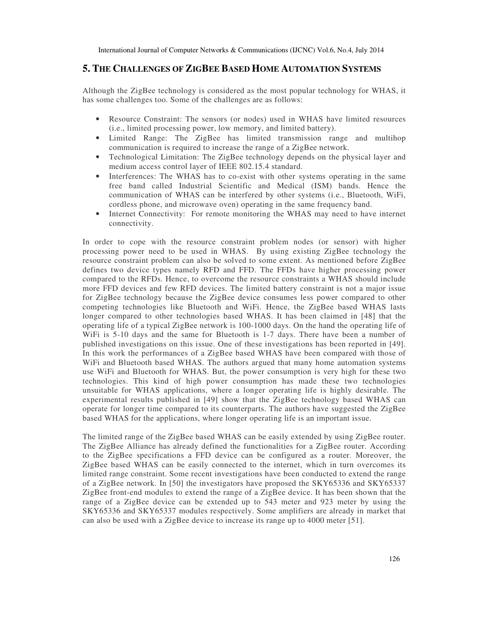### **5. THE CHALLENGES OF ZIGBEE BASED HOME AUTOMATION SYSTEMS**

Although the ZigBee technology is considered as the most popular technology for WHAS, it has some challenges too. Some of the challenges are as follows:

- Resource Constraint: The sensors (or nodes) used in WHAS have limited resources (i.e., limited processing power, low memory, and limited battery).
- Limited Range: The ZigBee has limited transmission range and multihop communication is required to increase the range of a ZigBee network.
- Technological Limitation: The ZigBee technology depends on the physical layer and medium access control layer of IEEE 802.15.4 standard.
- Interferences: The WHAS has to co-exist with other systems operating in the same free band called Industrial Scientific and Medical (ISM) bands. Hence the communication of WHAS can be interfered by other systems (i.e., Bluetooth, WiFi, cordless phone, and microwave oven) operating in the same frequency band.
- Internet Connectivity: For remote monitoring the WHAS may need to have internet connectivity.

In order to cope with the resource constraint problem nodes (or sensor) with higher processing power need to be used in WHAS. By using existing ZigBee technology the resource constraint problem can also be solved to some extent. As mentioned before ZigBee defines two device types namely RFD and FFD. The FFDs have higher processing power compared to the RFDs. Hence, to overcome the resource constraints a WHAS should include more FFD devices and few RFD devices. The limited battery constraint is not a major issue for ZigBee technology because the ZigBee device consumes less power compared to other competing technologies like Bluetooth and WiFi. Hence, the ZigBee based WHAS lasts longer compared to other technologies based WHAS. It has been claimed in [48] that the operating life of a typical ZigBee network is 100-1000 days. On the hand the operating life of WiFi is 5-10 days and the same for Bluetooth is 1-7 days. There have been a number of published investigations on this issue. One of these investigations has been reported in [49]. In this work the performances of a ZigBee based WHAS have been compared with those of WiFi and Bluetooth based WHAS. The authors argued that many home automation systems use WiFi and Bluetooth for WHAS. But, the power consumption is very high for these two technologies. This kind of high power consumption has made these two technologies unsuitable for WHAS applications, where a longer operating life is highly desirable. The experimental results published in [49] show that the ZigBee technology based WHAS can operate for longer time compared to its counterparts. The authors have suggested the ZigBee based WHAS for the applications, where longer operating life is an important issue.

The limited range of the ZigBee based WHAS can be easily extended by using ZigBee router. The ZigBee Alliance has already defined the functionalities for a ZigBee router. According to the ZigBee specifications a FFD device can be configured as a router. Moreover, the ZigBee based WHAS can be easily connected to the internet, which in turn overcomes its limited range constraint. Some recent investigations have been conducted to extend the range of a ZigBee network. In [50] the investigators have proposed the SKY65336 and SKY65337 ZigBee front-end modules to extend the range of a ZigBee device. It has been shown that the range of a ZigBee device can be extended up to 543 meter and 923 meter by using the SKY65336 and SKY65337 modules respectively. Some amplifiers are already in market that can also be used with a ZigBee device to increase its range up to 4000 meter [51].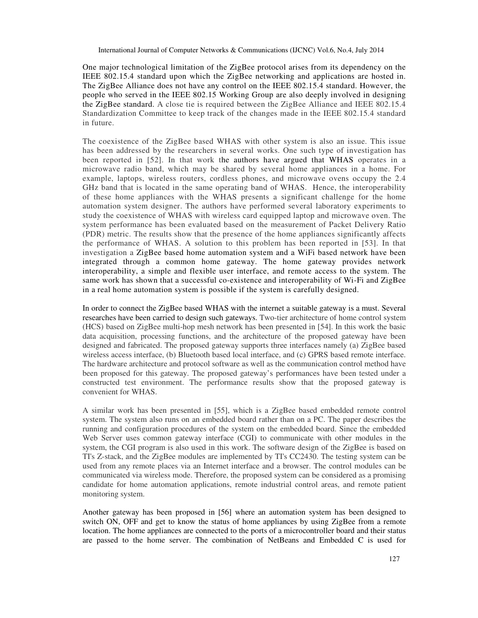One major technological limitation of the ZigBee protocol arises from its dependency on the IEEE 802.15.4 standard upon which the ZigBee networking and applications are hosted in. The ZigBee Alliance does not have any control on the IEEE 802.15.4 standard. However, the people who served in the IEEE 802.15 Working Group are also deeply involved in designing the ZigBee standard. A close tie is required between the ZigBee Alliance and IEEE 802.15.4 Standardization Committee to keep track of the changes made in the IEEE 802.15.4 standard in future.

The coexistence of the ZigBee based WHAS with other system is also an issue. This issue has been addressed by the researchers in several works. One such type of investigation has been reported in [52]. In that work the authors have argued that WHAS operates in a microwave radio band, which may be shared by several home appliances in a home. For example, laptops, wireless routers, cordless phones, and microwave ovens occupy the 2.4 GHz band that is located in the same operating band of WHAS. Hence, the interoperability of these home appliances with the WHAS presents a significant challenge for the home automation system designer. The authors have performed several laboratory experiments to study the coexistence of WHAS with wireless card equipped laptop and microwave oven. The system performance has been evaluated based on the measurement of Packet Delivery Ratio (PDR) metric. The results show that the presence of the home appliances significantly affects the performance of WHAS. A solution to this problem has been reported in [53]. In that investigation a ZigBee based home automation system and a WiFi based network have been integrated through a common home gateway. The home gateway provides network interoperability, a simple and flexible user interface, and remote access to the system. The same work has shown that a successful co-existence and interoperability of Wi-Fi and ZigBee in a real home automation system is possible if the system is carefully designed.

In order to connect the ZigBee based WHAS with the internet a suitable gateway is a must. Several researches have been carried to design such gateways. Two-tier architecture of home control system (HCS) based on ZigBee multi-hop mesh network has been presented in [54]. In this work the basic data acquisition, processing functions, and the architecture of the proposed gateway have been designed and fabricated. The proposed gateway supports three interfaces namely (a) ZigBee based wireless access interface, (b) Bluetooth based local interface, and (c) GPRS based remote interface. The hardware architecture and protocol software as well as the communication control method have been proposed for this gateway. The proposed gateway's performances have been tested under a constructed test environment. The performance results show that the proposed gateway is convenient for WHAS.

A similar work has been presented in [55], which is a ZigBee based embedded remote control system. The system also runs on an embedded board rather than on a PC. The paper describes the running and configuration procedures of the system on the embedded board. Since the embedded Web Server uses common gateway interface (CGI) to communicate with other modules in the system, the CGI program is also used in this work. The software design of the ZigBee is based on TI's Z-stack, and the ZigBee modules are implemented by TI's CC2430. The testing system can be used from any remote places via an Internet interface and a browser. The control modules can be communicated via wireless mode. Therefore, the proposed system can be considered as a promising candidate for home automation applications, remote industrial control areas, and remote patient monitoring system.

Another gateway has been proposed in [56] where an automation system has been designed to switch ON, OFF and get to know the status of home appliances by using ZigBee from a remote location. The home appliances are connected to the ports of a microcontroller board and their status are passed to the home server. The combination of NetBeans and Embedded C is used for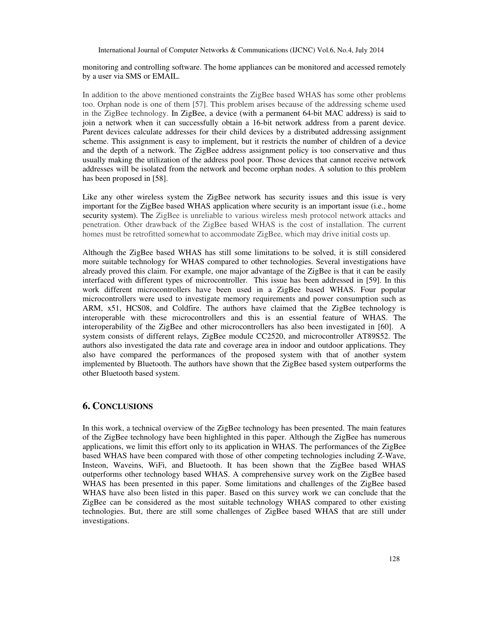monitoring and controlling software. The home appliances can be monitored and accessed remotely by a user via SMS or EMAIL.

In addition to the above mentioned constraints the ZigBee based WHAS has some other problems too. Orphan node is one of them [57]. This problem arises because of the addressing scheme used in the ZigBee technology. In ZigBee, a device (with a permanent 64-bit MAC address) is said to join a network when it can successfully obtain a 16-bit network address from a parent device. Parent devices calculate addresses for their child devices by a distributed addressing assignment scheme. This assignment is easy to implement, but it restricts the number of children of a device and the depth of a network. The ZigBee address assignment policy is too conservative and thus usually making the utilization of the address pool poor. Those devices that cannot receive network addresses will be isolated from the network and become orphan nodes. A solution to this problem has been proposed in [58].

Like any other wireless system the ZigBee network has security issues and this issue is very important for the ZigBee based WHAS application where security is an important issue (i.e., home security system). The ZigBee is unreliable to various wireless mesh protocol network attacks and penetration. Other drawback of the ZigBee based WHAS is the cost of installation. The current homes must be retrofitted somewhat to accommodate ZigBee, which may drive initial costs up.

Although the ZigBee based WHAS has still some limitations to be solved, it is still considered more suitable technology for WHAS compared to other technologies. Several investigations have already proved this claim. For example, one major advantage of the ZigBee is that it can be easily interfaced with different types of microcontroller. This issue has been addressed in [59]. In this work different microcontrollers have been used in a ZigBee based WHAS. Four popular microcontrollers were used to investigate memory requirements and power consumption such as ARM, x51, HCS08, and Coldfire. The authors have claimed that the ZigBee technology is interoperable with these microcontrollers and this is an essential feature of WHAS. The interoperability of the ZigBee and other microcontrollers has also been investigated in [60]. A system consists of different relays, ZigBee module CC2520, and microcontroller AT89S52. The authors also investigated the data rate and coverage area in indoor and outdoor applications. They also have compared the performances of the proposed system with that of another system implemented by Bluetooth. The authors have shown that the ZigBee based system outperforms the other Bluetooth based system.

### **6. CONCLUSIONS**

In this work, a technical overview of the ZigBee technology has been presented. The main features of the ZigBee technology have been highlighted in this paper. Although the ZigBee has numerous applications, we limit this effort only to its application in WHAS. The performances of the ZigBee based WHAS have been compared with those of other competing technologies including Z-Wave, Insteon, Waveins, WiFi, and Bluetooth. It has been shown that the ZigBee based WHAS outperforms other technology based WHAS. A comprehensive survey work on the ZigBee based WHAS has been presented in this paper. Some limitations and challenges of the ZigBee based WHAS have also been listed in this paper. Based on this survey work we can conclude that the ZigBee can be considered as the most suitable technology WHAS compared to other existing technologies. But, there are still some challenges of ZigBee based WHAS that are still under investigations.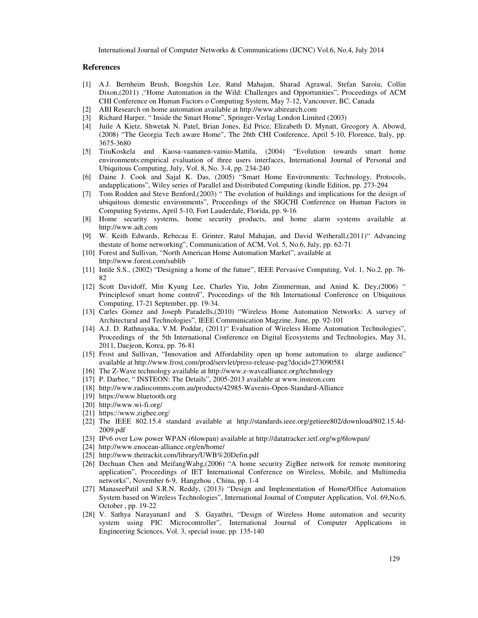#### **References**

- [1] A.J. Bernheim Brush, Bongshin Lee, Ratul Mahajan, Sharad Agrawal, Stefan Saroiu, Collin Dixon,(2011) ,"Home Automation in the Wild: Challenges and Opportunities", Proceedings of ACM CHI Conference on Human Factors o Computing System, May 7-12, Vancouver, BC, Canada
- [2] ABI Research on home automation available at http://www.abirearch.com
- [3] Richard Harper, " Inside the Smart Home", Springer-Verlag London Limited (2003)
- [4] Juile A Kietz, Shwetak N. Patel, Brian Jones, Ed Price, Elizabeth D. Mynatt, Greogory A. Abowd, (2008) "The Georgia Tech aware Home", The 26th CHI Conference, April 5-10, Florence, Italy, pp. 3675-3680
- [5] TiiuKoskela and Kaosa-vaananen-vainio-Mattila, (2004) "Evolution towards smart home environments:empirical evaluation of three users interfaces, International Journal of Personal and Ubiquitous Computing, July, Vol. 8, No. 3-4, pp. 234-240
- [6] Daine J. Cook and Sajal K. Das, (2005) "Smart Home Environments: Technology, Protocols, andapplications", Wiley series of Parallel and Distributed Computing (kindle Edition, pp. 273-294
- [7] Tom Rodden and Steve Benford,(2003) " The evolution of buildings and implications for the design of ubiquitous domestic environments", Proceedings of the SIGCHI Conference on Human Factors in Computing Systems, April 5-10, Fort Lauderdale, Florida, pp. 9-16
- [8] Home security systems, home security products, and home alarm systems available at http://www.adt.com
- [9] W. Keith Edwards, Rebecaa E. Grinter, Ratul Mahajan, and David Wetherall,(2011)" Advancing thestate of home networking", Communication of ACM, Vol. 5, No.6, July, pp. 62-71
- [10] Forest and Sullivan, "North American Home Automation Market", available at http://www.forest.com/sublib
- [11] Intile S.S., (2002) "Designing a home of the future", IEEE Pervasive Computing, Vol. 1, No.2, pp. 76- 82
- [12] Scott Davidoff, Min Kyung Lee, Charles Yiu, John Zimmerman, and Anind K. Dey,(2006) " Principlesof smart home control", Proceedings of the 8th International Conference on Ubiquitous Computing, 17-21 September, pp. 19-34.
- [13] Carles Gomez and Joseph Paradells,(2010) "Wireless Home Automation Networks: A survey of Architectural and Technologies", IEEE Communication Magzine, June, pp. 92-101
- [14] A.J. D. Rathnayaka, V.M. Poddar, (2011)" Evaluation of Wireless Home Automation Technologies", Proceedings of the 5th International Conference on Digital Ecosystems and Technologies, May 31, 2011, Daejeon, Korea, pp. 76-81
- [15] Frost and Sullivan, "Innovation and Affordability open up home automation to alarge audience" available at http://www.frost.com/prod/servlet/press-release-pag?docid=273090581
- [16] The Z-Wave technology available at http://www.z-wavealliance.org/technology
- [17] P. Darbee, "INSTEON: The Details", 2005-2013 available at www.insteon.com
- [18] http://www.radiocomms.com.au/products/42985-Wavenis-Open-Standard-Alliance
- [19] https://www.bluetooth.org
- [20] http://www.wi-fi.org/
- [21] https://www.zigbee.org/
- [22] The IEEE 802.15.4 standard available at http://standards.ieee.org/getieee802/download/802.15.4d-2009.pdf
- [23] IPv6 over Low power WPAN (6lowpan) available at http://datatracker.ietf.org/wg/6lowpan/
- [24] http://www.enocean-alliance.org/en/home/
- [25] http://www.thetrackit.com/library/UWB%20Defin.pdf
- [26] Dechuan Chen and MeifangWabg,(2006) "A home security ZigBee network for remote monitoring application", Proceedings of IET International Conference on Wireless, Mobile, and Multimedia networks", November 6-9, Hangzhou , China, pp. 1-4
- [27] ManaseePatil and S.R.N. Reddy, (2013) "Design and Implementation of Home/Office Automation System based on Wireless Technologies", International Journal of Computer Application, Vol. 69,No.6, October , pp. 19-22
- [28] V. Sathya Narayanan1 and S. Gayathri, "Design of Wireless Home automation and security system using PIC Microcontroller", International Journal of Computer Applications in Engineering Sciences, Vol. 3, special issue, pp. 135-140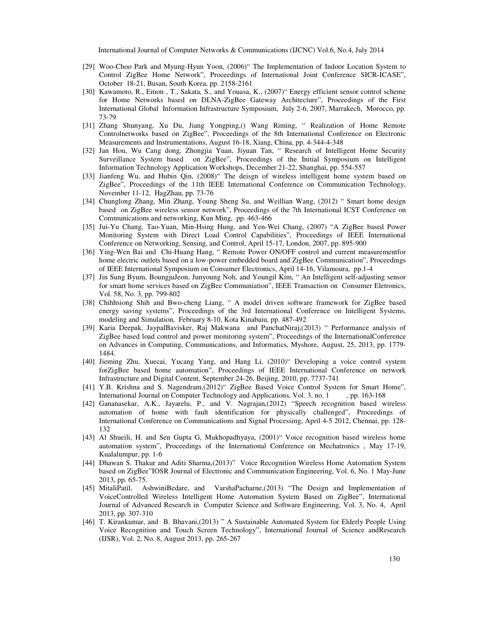- [29] Woo-Choo Park and Myung-Hyun Yoon, (2006)" The Implementation of Indoor Location System to Control ZigBee Home Network", Proceedings of International Joint Conference SICR-ICASE", October 18-21, Busan, South Korea, pp. 2158-2161
- [30] Kawamoto, R., Emon , T., Sakata, S., and Youasa, K., (2007)" Energy efficient sensor control scheme for Home Networks based on DLNA-ZigBee Gateway Architecture", Proceedings of the First International Global Information Infrastructure Symposium, July 2-6, 2007, Marrakech, Morocco, pp. 73-79
- [31] Zhang Shunyang, Xu Du, Jiang Yongping,() Wang Riming, " Realization of Home Remote Controlnetworks based on ZigBee", Proceedings of the 8th International Conference on Electronic Measurements and Instrumentations, August 16-18, Xiang, China, pp. 4-344-4-348
- [32] Jan Hou, Wu Cang dong, Zhongjia Yuan, Jiyuan Tan, " Research of Intelligent Home Security Surveillance System based on ZigBee", Proceedings of the Initial Symposium on Intelligent Information Technology Application Workshops, December 21-22, Shanghai, pp. 554-557
- [33] Jianfeng Wu, and Hubin Qin, (2008)" The deisgn of wireless intelligent home system based on ZigBee", Proceedings of the 11th IEEE International Conference on Communication Technology, November 11-12, HagZhau, pp. 73-76
- [34] Chunglong Zhang, Min Zhang, Young Sheng Su, and Weillian Wang, (2012) " Smart home design based on ZigBee wireless sensor network", Proceedings of the 7th International ICST Conference on Communications and networking, Kun Ming, pp. 463-466
- [35] Jui-Yu Chang, Tao-Yuan, Min-Hsing Hung, and Yen-Wei Chang, (2007) "A ZigBee based Power Monitoring System with Direct Load Control Capabilities", Proceedings of IEEE International Conference on Networking, Sensing, and Control, April 15-17, London, 2007, pp. 895-900
- [36] Ying-Wen Bai and Chi-Huang Hang, " Remote Power ON/OFF control and current measurementfor home electric outlets based on a low-power embedded board and ZigBee Communication", Proceedings of IEEE International Symposium on Consumer Electronics, April 14-16, Vilamoura, pp.1-4
- [37] Jin Sung Byum, BoungjuJeon, Junyoung Noh, and Youngil Kim, " An Intelligent self-adjusting sensor for smart home services based on ZigBee Communiation", IEEE Transaction on Consumer Eletronics, Vol. 58, No. 3, pp. 799-802
- [38] Chihhsiong Shih and Bwo-cheng Liang, " A model driven software framework for ZigBee based energy saving systems", Proceedings of the 3rd International Conference on Intelligent Systems, modeling and Simulation, February 8-10, Kota Kinabaiu, pp. 487-492
- [39] Karia Deepak, JaypalBavisker, Raj Makwana and PanchatNiraj,(2013) " Performance analysis of ZigBee based load control and power monitoring system", Proceedings of the InternationalConference on Advances in Computing, Communications, and Informatics, Myshore, August, 25, 2013, pp. 1779- 1484.
- [40] Jieming Zhu, Xuecai, Yucang Yang, and Hang Li, (2010)" Developing a voice control system forZigBee based home automation", Proceedings of IEEE International Conference on network Infrastructure and Digital Content, September 24-26, Beijing, 2010, pp. 7737-741
- [41] Y.B. Krishna and S. Nagendram,(2012)" ZigBee Based Voice Control System for Smart Home", International Journal on Computer Technology and Applications, Vol. 3, no. 1 , pp. 163-168
- [42] Gananasekar, A.K., Jayarelu, P., and V. Nagrajan,(2012) "Speech recognition based wireless automation of home with fault identification for physically challenged", Proceedings of International Conference on Communications and Signal Processing, April 4-5 2012, Chennai, pp. 128- 132
- [43] Al Shueili, H. and Sen Gupta G, Mukhopadhyaya, (2001)" Voice recognition based wireless home automation system", Proceedings of the International Conference on Mechatronics , May 17-19, Kualalumpur, pp. 1-6
- [44] Dhawan S. Thakur and Aditi Sharma,(2013)" Voice Recognition Wireless Home Automation System based on ZigBee"IOSR Journal of Electronic and Communication Engineering, Vol. 6, No. 1 May-June 2013, pp. 65-75.
- [45] MitaliPatil, AshwiniBedare, and VarshaPacharne,(2013) "The Design and Implementation of VoiceControlled Wireless Intelligent Home Automation System Based on ZigBee", International Journal of Advanced Research in Computer Science and Software Engineering, Vol. 3, No. 4, April 2013, pp. 307-310
- [46] T. Kirankumar, and B. Bhavani,(2013) " A Sustainable Automated System for Elderly People Using Voice Recognition and Touch Screen Technology", International Journal of Science andResearch (IJSR), Vol. 2, No. 8, August 2013, pp. 265-267